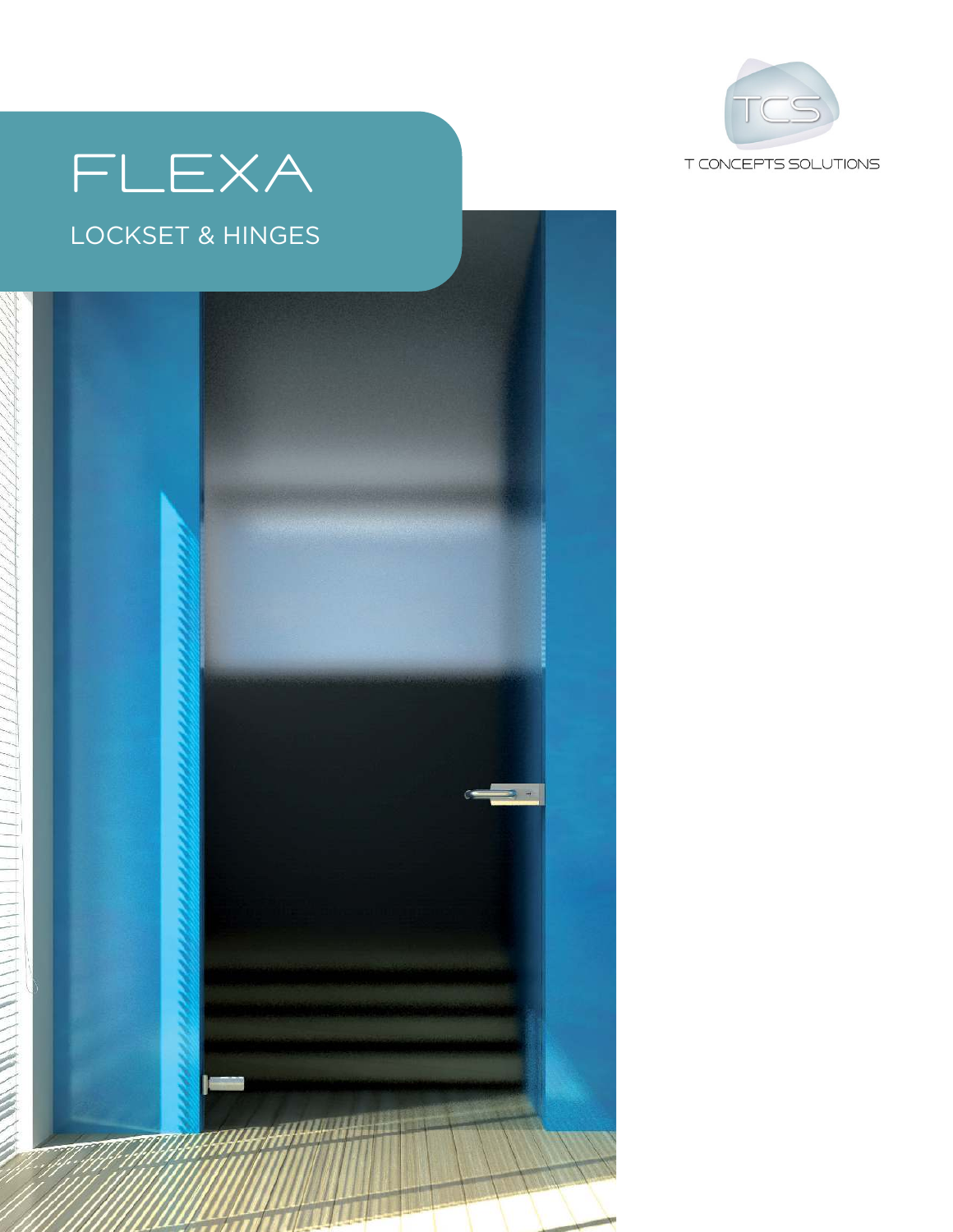

# FLEXA

#### LOCKSET & HINGES

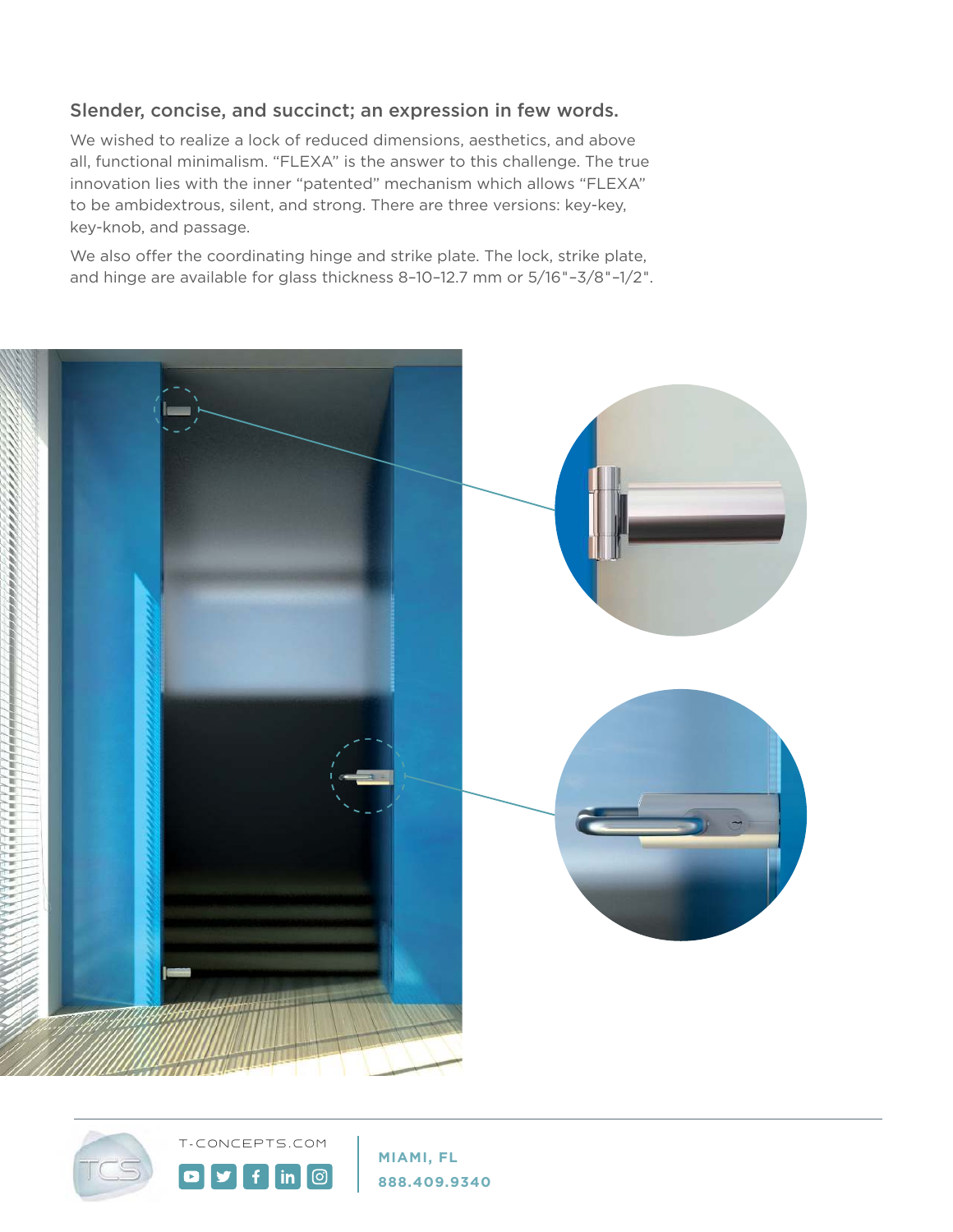#### Slender, concise, and succinct; an expression in few words.

We wished to realize a lock of reduced dimensions, aesthetics, and above all, functional minimalism. "FLEXA" is the answer to this challenge. The true innovation lies with the inner "patented" mechanism which allows "FLEXA" to be ambidextrous, silent, and strong. There are three versions: key-key, key-knob, and passage.

We also offer the coordinating hinge and strike plate. The lock, strike plate, and hinge are available for glass thickness 8–10–12.7 mm or 5/16"–3/8"–1/2".





 $\bullet$ 

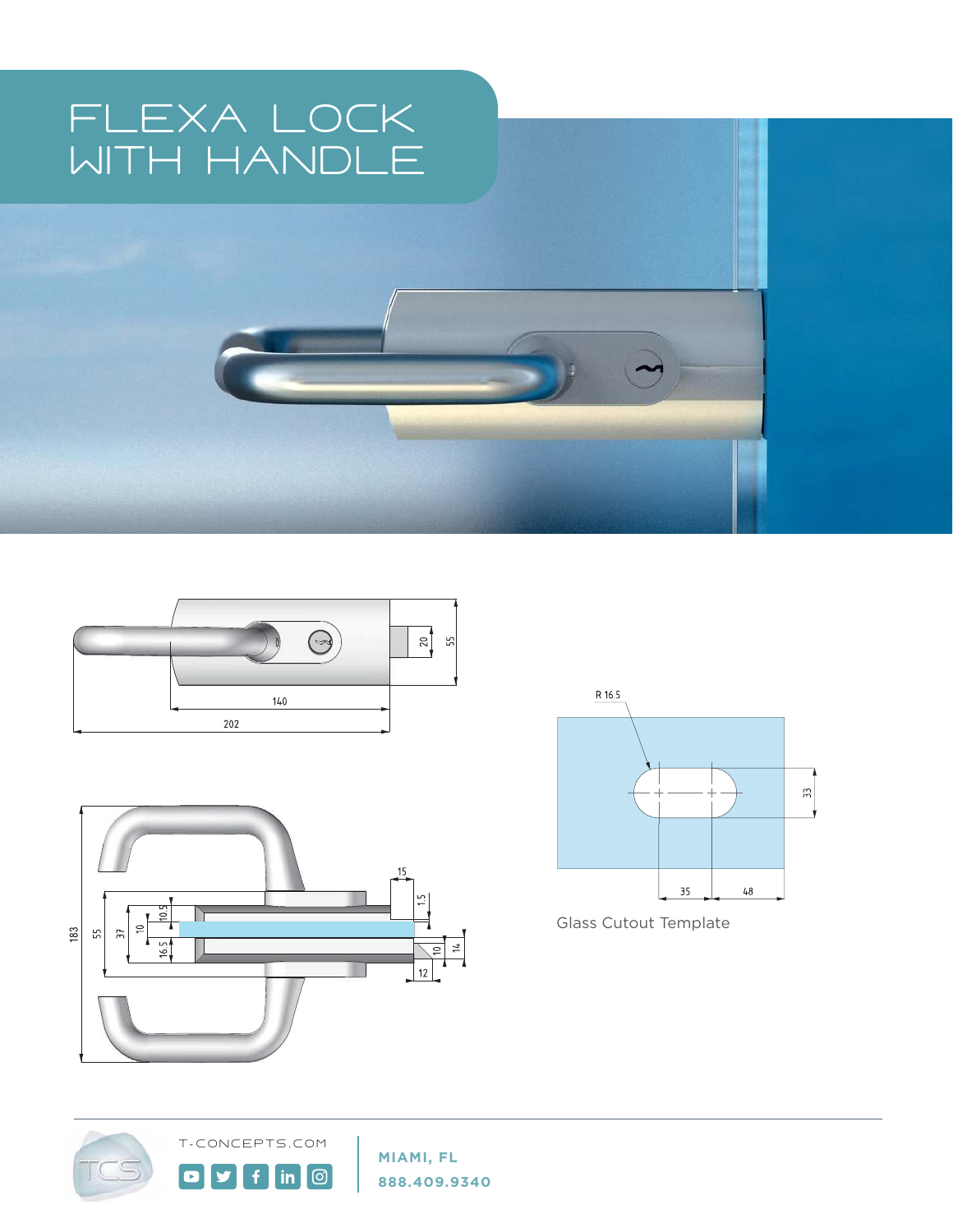## FLEXA LOCK WITH HANDLE





£.

 $\overline{\mathsf{in} \hspace{.08in} |}$ 





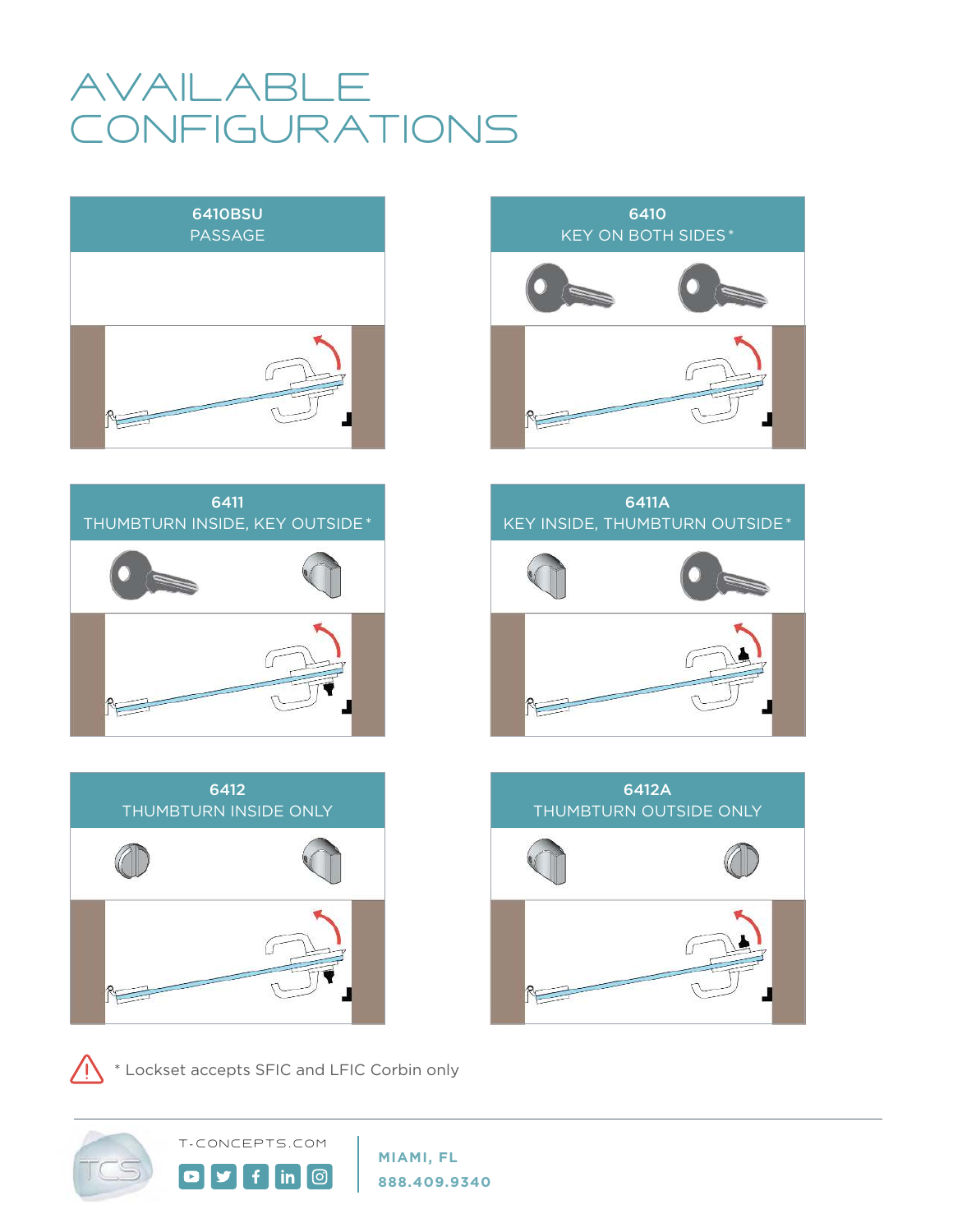#### **AVAILABLE CONFIGURATIONS**









\* Lockset accepts SFIC and LFIC Corbin only

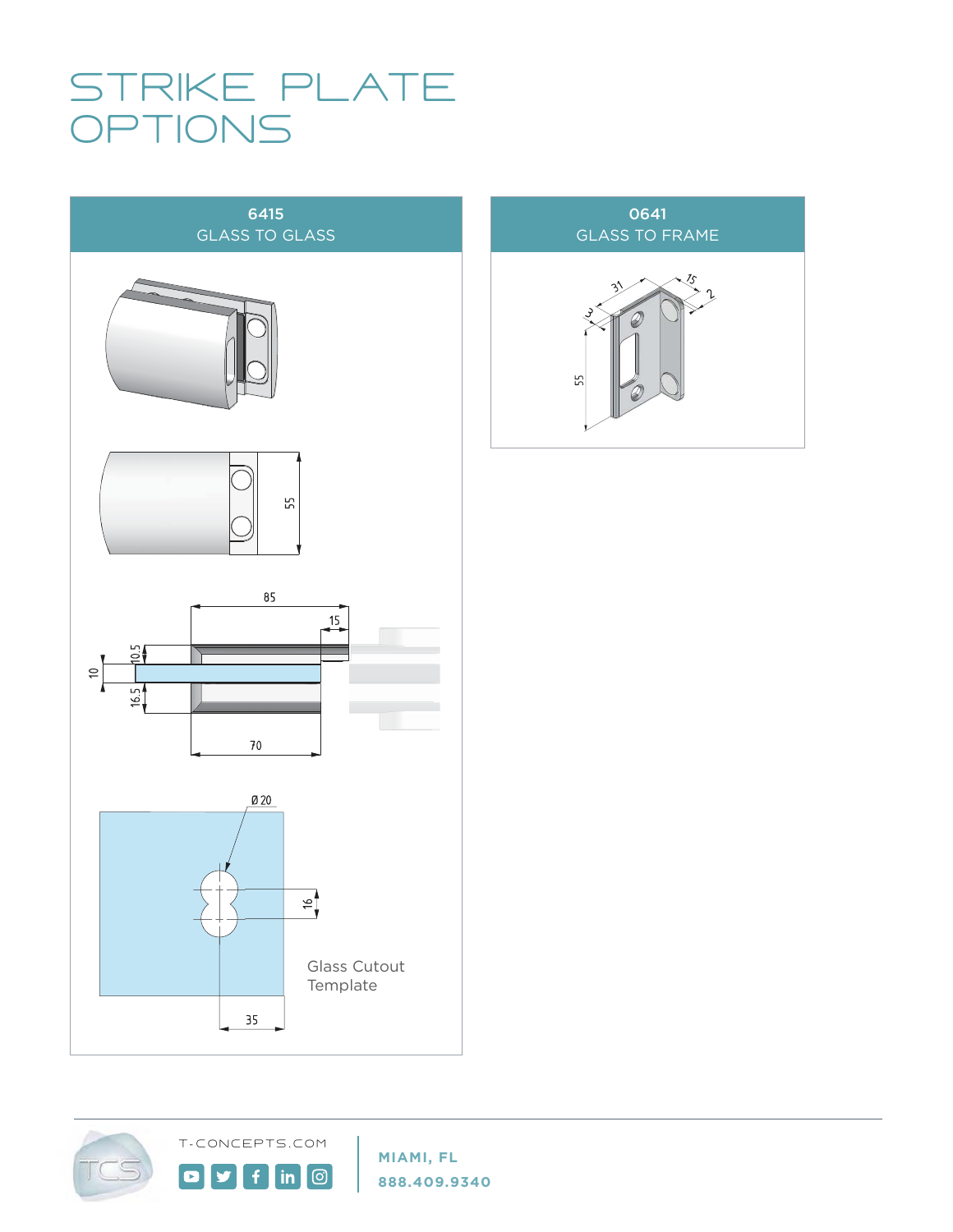#### STRIKE PLATE **DPTIONS**



T - CONCEPTS . COM

 $f$ 

 $\ln$   $\odot$ 

 $\mathbf{y}$ 

 $\blacksquare$ 



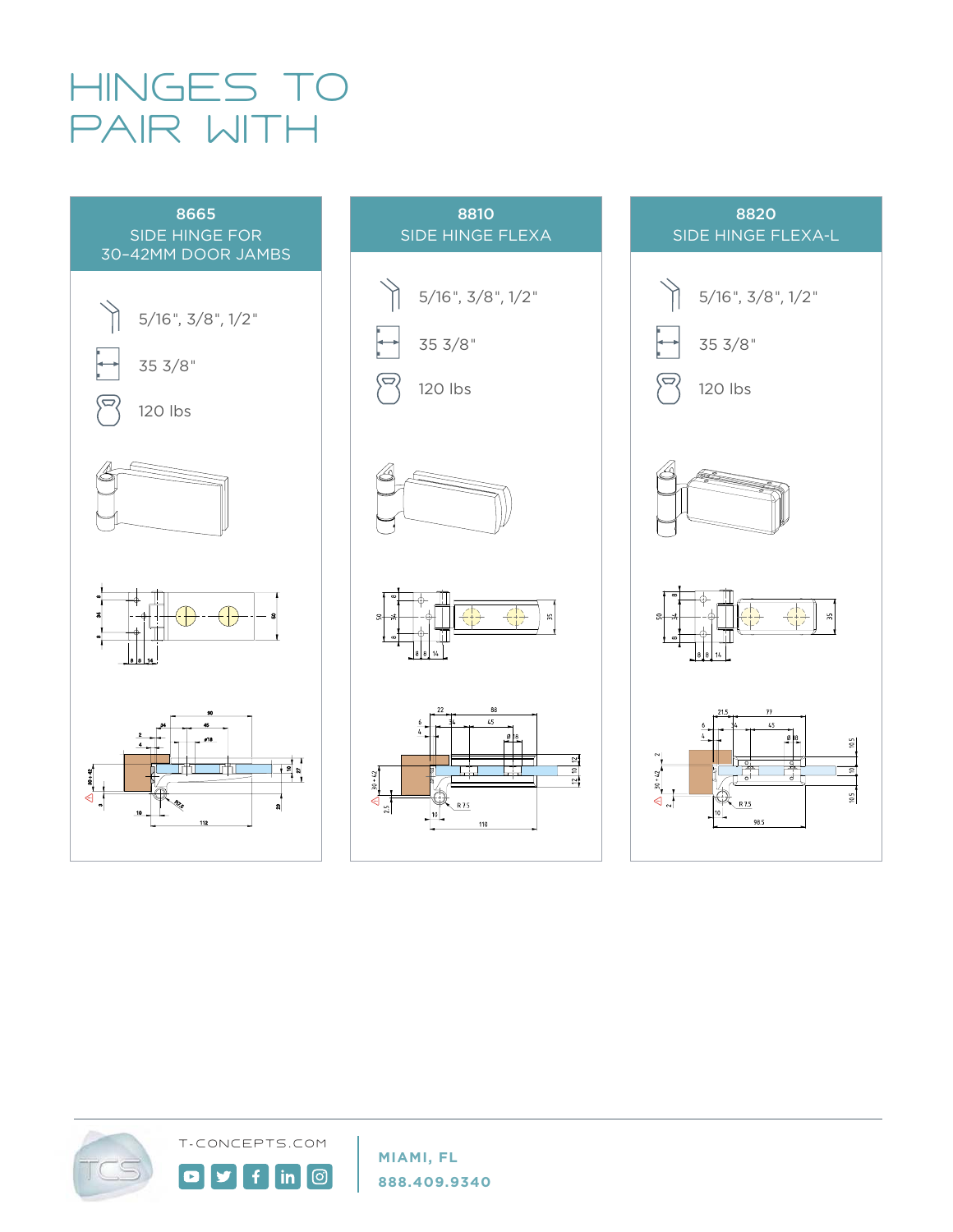## HINGES TO PAIR WITH





#### 8820 SIDE HINGE FLEXA-L





T - CONCEPTS . COM

Ŧ

**©** 

 $\mathsf{in}$ 

 $\bullet$